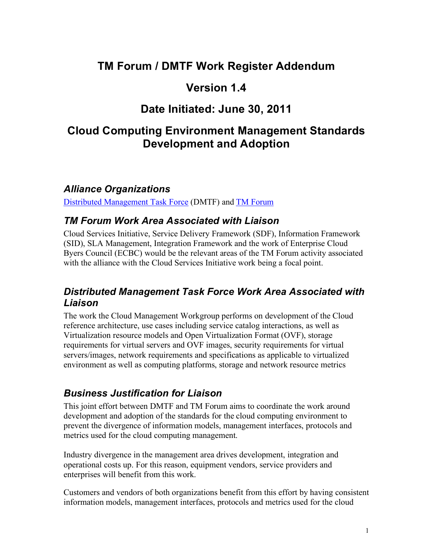# **TM Forum / DMTF Work Register Addendum**

### **Version 1.4**

# **Date Initiated: June 30, 2011**

### **Cloud Computing Environment Management Standards Development and Adoption**

#### *Alliance Organizations*

Distributed Management Task Force (DMTF) and TM Forum

#### *TM Forum Work Area Associated with Liaison*

Cloud Services Initiative, Service Delivery Framework (SDF), Information Framework (SID), SLA Management, Integration Framework and the work of Enterprise Cloud Byers Council (ECBC) would be the relevant areas of the TM Forum activity associated with the alliance with the Cloud Services Initiative work being a focal point.

#### *Distributed Management Task Force Work Area Associated with Liaison*

The work the Cloud Management Workgroup performs on development of the Cloud reference architecture, use cases including service catalog interactions, as well as Virtualization resource models and Open Virtualization Format (OVF), storage requirements for virtual servers and OVF images, security requirements for virtual servers/images, network requirements and specifications as applicable to virtualized environment as well as computing platforms, storage and network resource metrics

### *Business Justification for Liaison*

This joint effort between DMTF and TM Forum aims to coordinate the work around development and adoption of the standards for the cloud computing environment to prevent the divergence of information models, management interfaces, protocols and metrics used for the cloud computing management.

Industry divergence in the management area drives development, integration and operational costs up. For this reason, equipment vendors, service providers and enterprises will benefit from this work.

Customers and vendors of both organizations benefit from this effort by having consistent information models, management interfaces, protocols and metrics used for the cloud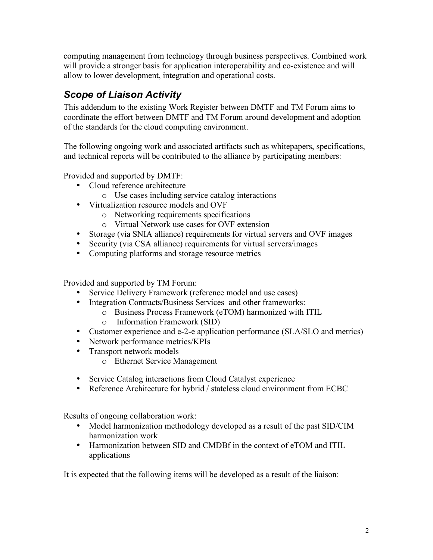computing management from technology through business perspectives. Combined work will provide a stronger basis for application interoperability and co-existence and will allow to lower development, integration and operational costs.

### *Scope of Liaison Activity*

This addendum to the existing Work Register between DMTF and TM Forum aims to coordinate the effort between DMTF and TM Forum around development and adoption of the standards for the cloud computing environment.

The following ongoing work and associated artifacts such as whitepapers, specifications, and technical reports will be contributed to the alliance by participating members:

Provided and supported by DMTF:

- Cloud reference architecture
	- o Use cases including service catalog interactions
- Virtualization resource models and OVF
	- o Networking requirements specifications
	- o Virtual Network use cases for OVF extension
- Storage (via SNIA alliance) requirements for virtual servers and OVF images
- Security (via CSA alliance) requirements for virtual servers/images
- Computing platforms and storage resource metrics

Provided and supported by TM Forum:

- Service Delivery Framework (reference model and use cases)
- Integration Contracts/Business Services and other frameworks:
	- o Business Process Framework (eTOM) harmonized with ITIL
		- o Information Framework (SID)
- Customer experience and e-2-e application performance (SLA/SLO and metrics)
- Network performance metrics/KPIs
- Transport network models
	- o Ethernet Service Management
- Service Catalog interactions from Cloud Catalyst experience
- Reference Architecture for hybrid / stateless cloud environment from ECBC

Results of ongoing collaboration work:

- Model harmonization methodology developed as a result of the past SID/CIM harmonization work
- Harmonization between SID and CMDBf in the context of eTOM and ITIL applications

It is expected that the following items will be developed as a result of the liaison: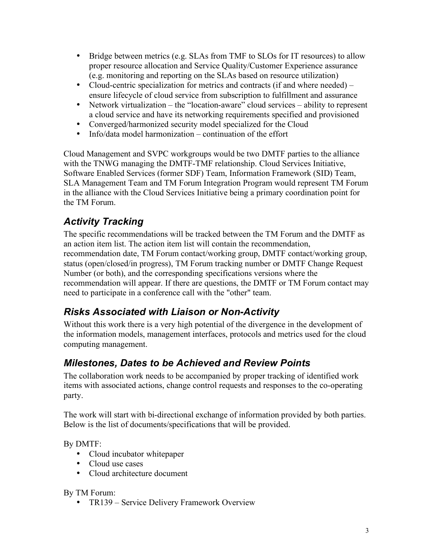- Bridge between metrics (e.g. SLAs from TMF to SLOs for IT resources) to allow proper resource allocation and Service Quality/Customer Experience assurance (e.g. monitoring and reporting on the SLAs based on resource utilization)
- Cloud-centric specialization for metrics and contracts (if and where needed) ensure lifecycle of cloud service from subscription to fulfillment and assurance
- Network virtualization the "location-aware" cloud services ability to represent a cloud service and have its networking requirements specified and provisioned
- Converged/harmonized security model specialized for the Cloud
- Info/data model harmonization continuation of the effort

Cloud Management and SVPC workgroups would be two DMTF parties to the alliance with the TNWG managing the DMTF-TMF relationship. Cloud Services Initiative, Software Enabled Services (former SDF) Team, Information Framework (SID) Team, SLA Management Team and TM Forum Integration Program would represent TM Forum in the alliance with the Cloud Services Initiative being a primary coordination point for the TM Forum.

## *Activity Tracking*

The specific recommendations will be tracked between the TM Forum and the DMTF as an action item list. The action item list will contain the recommendation, recommendation date, TM Forum contact/working group, DMTF contact/working group, status (open/closed/in progress), TM Forum tracking number or DMTF Change Request Number (or both), and the corresponding specifications versions where the recommendation will appear. If there are questions, the DMTF or TM Forum contact may need to participate in a conference call with the "other" team.

# *Risks Associated with Liaison or Non-Activity*

Without this work there is a very high potential of the divergence in the development of the information models, management interfaces, protocols and metrics used for the cloud computing management.

### *Milestones, Dates to be Achieved and Review Points*

The collaboration work needs to be accompanied by proper tracking of identified work items with associated actions, change control requests and responses to the co-operating party.

The work will start with bi-directional exchange of information provided by both parties. Below is the list of documents/specifications that will be provided.

By DMTF:

- Cloud incubator whitepaper
- Cloud use cases
- Cloud architecture document

By TM Forum:

• TR139 – Service Delivery Framework Overview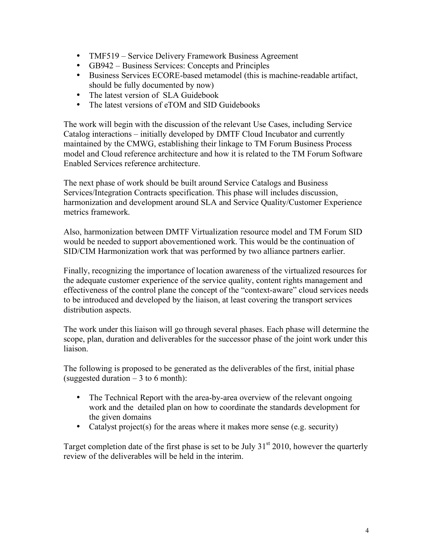- TMF519 Service Delivery Framework Business Agreement
- GB942 Business Services: Concepts and Principles
- Business Services ECORE-based metamodel (this is machine-readable artifact, should be fully documented by now)
- The latest version of SLA Guidebook
- The latest versions of eTOM and SID Guidebooks

The work will begin with the discussion of the relevant Use Cases, including Service Catalog interactions – initially developed by DMTF Cloud Incubator and currently maintained by the CMWG, establishing their linkage to TM Forum Business Process model and Cloud reference architecture and how it is related to the TM Forum Software Enabled Services reference architecture.

The next phase of work should be built around Service Catalogs and Business Services/Integration Contracts specification. This phase will includes discussion, harmonization and development around SLA and Service Quality/Customer Experience metrics framework.

Also, harmonization between DMTF Virtualization resource model and TM Forum SID would be needed to support abovementioned work. This would be the continuation of SID/CIM Harmonization work that was performed by two alliance partners earlier.

Finally, recognizing the importance of location awareness of the virtualized resources for the adequate customer experience of the service quality, content rights management and effectiveness of the control plane the concept of the "context-aware" cloud services needs to be introduced and developed by the liaison, at least covering the transport services distribution aspects.

The work under this liaison will go through several phases. Each phase will determine the scope, plan, duration and deliverables for the successor phase of the joint work under this liaison.

The following is proposed to be generated as the deliverables of the first, initial phase (suggested duration  $-3$  to 6 month):

- The Technical Report with the area-by-area overview of the relevant ongoing work and the detailed plan on how to coordinate the standards development for the given domains
- Catalyst project(s) for the areas where it makes more sense (e.g. security)

Target completion date of the first phase is set to be July  $31<sup>st</sup> 2010$ , however the quarterly review of the deliverables will be held in the interim.